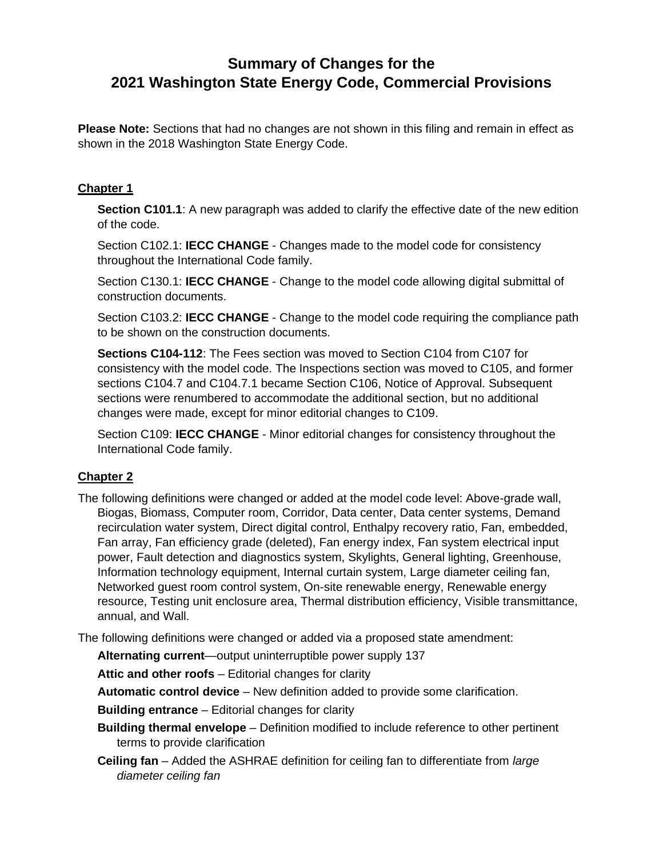# **Summary of Changes for the 2021 Washington State Energy Code, Commercial Provisions**

**Please Note:** Sections that had no changes are not shown in this filing and remain in effect as shown in the 2018 Washington State Energy Code.

# **Chapter 1**

**Section C101.1**: A new paragraph was added to clarify the effective date of the new edition of the code.

Section C102.1: **IECC CHANGE** - Changes made to the model code for consistency throughout the International Code family.

Section C130.1: **IECC CHANGE** - Change to the model code allowing digital submittal of construction documents.

Section C103.2: **IECC CHANGE** - Change to the model code requiring the compliance path to be shown on the construction documents.

**Sections C104-112**: The Fees section was moved to Section C104 from C107 for consistency with the model code. The Inspections section was moved to C105, and former sections C104.7 and C104.7.1 became Section C106, Notice of Approval. Subsequent sections were renumbered to accommodate the additional section, but no additional changes were made, except for minor editorial changes to C109.

Section C109: **IECC CHANGE** - Minor editorial changes for consistency throughout the International Code family.

## **Chapter 2**

The following definitions were changed or added at the model code level: Above-grade wall, Biogas, Biomass, Computer room, Corridor, Data center, Data center systems, Demand recirculation water system, Direct digital control, Enthalpy recovery ratio, Fan, embedded, Fan array, Fan efficiency grade (deleted), Fan energy index, Fan system electrical input power, Fault detection and diagnostics system, Skylights, General lighting, Greenhouse, Information technology equipment, Internal curtain system, Large diameter ceiling fan, Networked guest room control system, On-site renewable energy, Renewable energy resource, Testing unit enclosure area, Thermal distribution efficiency, Visible transmittance, annual, and Wall.

The following definitions were changed or added via a proposed state amendment:

**Alternating current**—output uninterruptible power supply 137

**Attic and other roofs** – Editorial changes for clarity

**Automatic control device** – New definition added to provide some clarification.

**Building entrance** – Editorial changes for clarity

**Building thermal envelope** – Definition modified to include reference to other pertinent terms to provide clarification

**Ceiling fan** – Added the ASHRAE definition for ceiling fan to differentiate from *large diameter ceiling fan*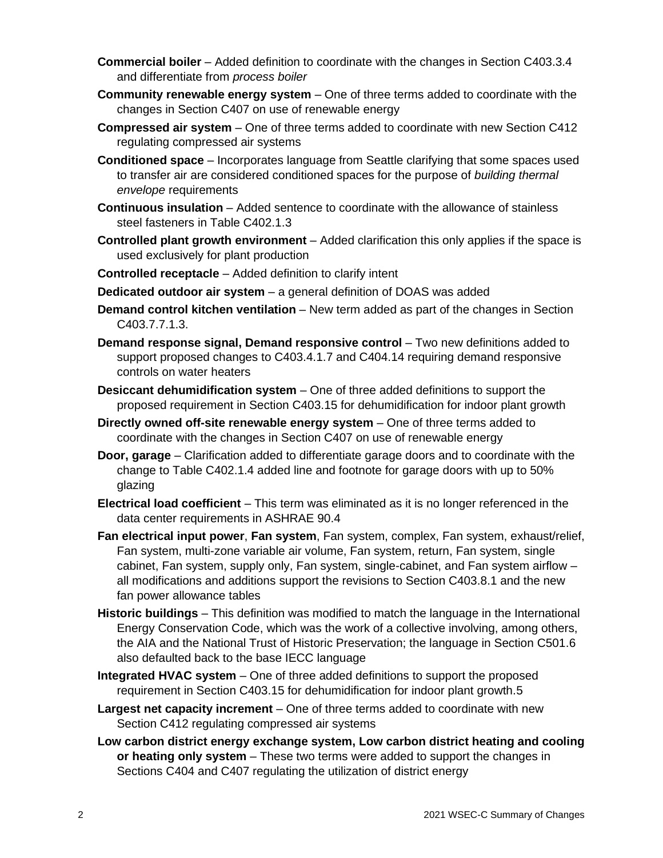- **Commercial boiler** Added definition to coordinate with the changes in Section C403.3.4 and differentiate from *process boiler*
- **Community renewable energy system** One of three terms added to coordinate with the changes in Section C407 on use of renewable energy
- **Compressed air system** One of three terms added to coordinate with new Section C412 regulating compressed air systems
- **Conditioned space** Incorporates language from Seattle clarifying that some spaces used to transfer air are considered conditioned spaces for the purpose of *building thermal envelope* requirements
- **Continuous insulation** Added sentence to coordinate with the allowance of stainless steel fasteners in Table C402.1.3
- **Controlled plant growth environment** Added clarification this only applies if the space is used exclusively for plant production
- **Controlled receptacle** Added definition to clarify intent
- **Dedicated outdoor air system** a general definition of DOAS was added
- **Demand control kitchen ventilation** New term added as part of the changes in Section C403.7.7.1.3.
- **Demand response signal, Demand responsive control** Two new definitions added to support proposed changes to C403.4.1.7 and C404.14 requiring demand responsive controls on water heaters
- **Desiccant dehumidification system** One of three added definitions to support the proposed requirement in Section C403.15 for dehumidification for indoor plant growth
- **Directly owned off-site renewable energy system** One of three terms added to coordinate with the changes in Section C407 on use of renewable energy
- **Door, garage** Clarification added to differentiate garage doors and to coordinate with the change to Table C402.1.4 added line and footnote for garage doors with up to 50% glazing
- **Electrical load coefficient** This term was eliminated as it is no longer referenced in the data center requirements in ASHRAE 90.4
- **Fan electrical input power**, **Fan system**, Fan system, complex, Fan system, exhaust/relief, Fan system, multi-zone variable air volume, Fan system, return, Fan system, single cabinet, Fan system, supply only, Fan system, single-cabinet, and Fan system airflow – all modifications and additions support the revisions to Section C403.8.1 and the new fan power allowance tables
- **Historic buildings** This definition was modified to match the language in the International Energy Conservation Code, which was the work of a collective involving, among others, the AIA and the National Trust of Historic Preservation; the language in Section C501.6 also defaulted back to the base IECC language
- **Integrated HVAC system** One of three added definitions to support the proposed requirement in Section C403.15 for dehumidification for indoor plant growth.5
- **Largest net capacity increment** One of three terms added to coordinate with new Section C412 regulating compressed air systems
- **Low carbon district energy exchange system, Low carbon district heating and cooling or heating only system** – These two terms were added to support the changes in Sections C404 and C407 regulating the utilization of district energy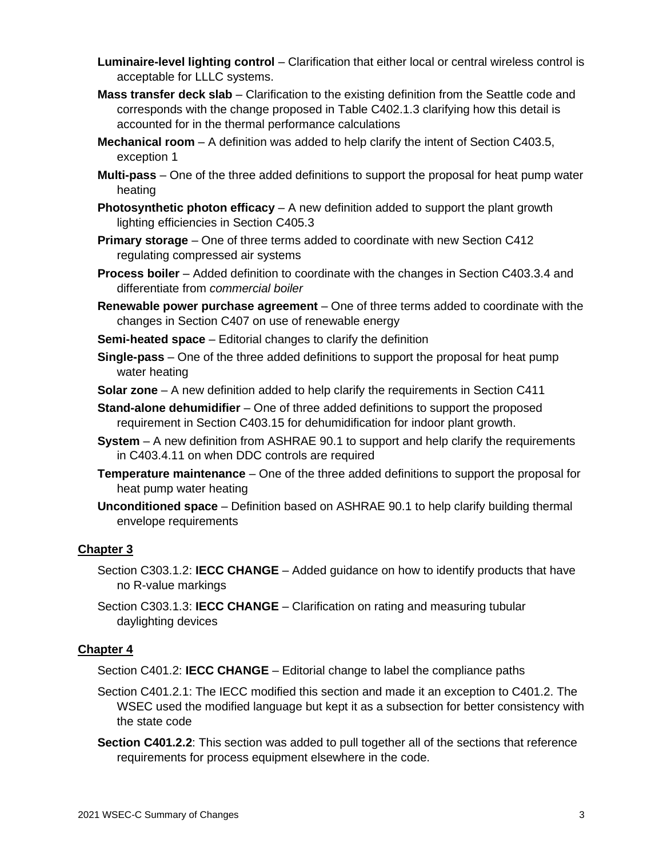- **Luminaire-level lighting control** Clarification that either local or central wireless control is acceptable for LLLC systems.
- **Mass transfer deck slab** Clarification to the existing definition from the Seattle code and corresponds with the change proposed in Table C402.1.3 clarifying how this detail is accounted for in the thermal performance calculations
- **Mechanical room** A definition was added to help clarify the intent of Section C403.5, exception 1
- **Multi-pass** One of the three added definitions to support the proposal for heat pump water heating
- **Photosynthetic photon efficacy** A new definition added to support the plant growth lighting efficiencies in Section C405.3
- **Primary storage** One of three terms added to coordinate with new Section C412 regulating compressed air systems
- **Process boiler** Added definition to coordinate with the changes in Section C403.3.4 and differentiate from *commercial boiler*
- **Renewable power purchase agreement** One of three terms added to coordinate with the changes in Section C407 on use of renewable energy

**Semi-heated space** – Editorial changes to clarify the definition

- **Single-pass** One of the three added definitions to support the proposal for heat pump water heating
- **Solar zone** A new definition added to help clarify the requirements in Section C411
- **Stand-alone dehumidifier** One of three added definitions to support the proposed requirement in Section C403.15 for dehumidification for indoor plant growth.
- **System** A new definition from ASHRAE 90.1 to support and help clarify the requirements in C403.4.11 on when DDC controls are required
- **Temperature maintenance** One of the three added definitions to support the proposal for heat pump water heating
- **Unconditioned space** Definition based on ASHRAE 90.1 to help clarify building thermal envelope requirements

# **Chapter 3**

- Section C303.1.2: **IECC CHANGE** Added guidance on how to identify products that have no R-value markings
- Section C303.1.3: **IECC CHANGE** Clarification on rating and measuring tubular daylighting devices

# **Chapter 4**

Section C401.2: **IECC CHANGE** – Editorial change to label the compliance paths

- Section C401.2.1: The IECC modified this section and made it an exception to C401.2. The WSEC used the modified language but kept it as a subsection for better consistency with the state code
- **Section C401.2.2:** This section was added to pull together all of the sections that reference requirements for process equipment elsewhere in the code.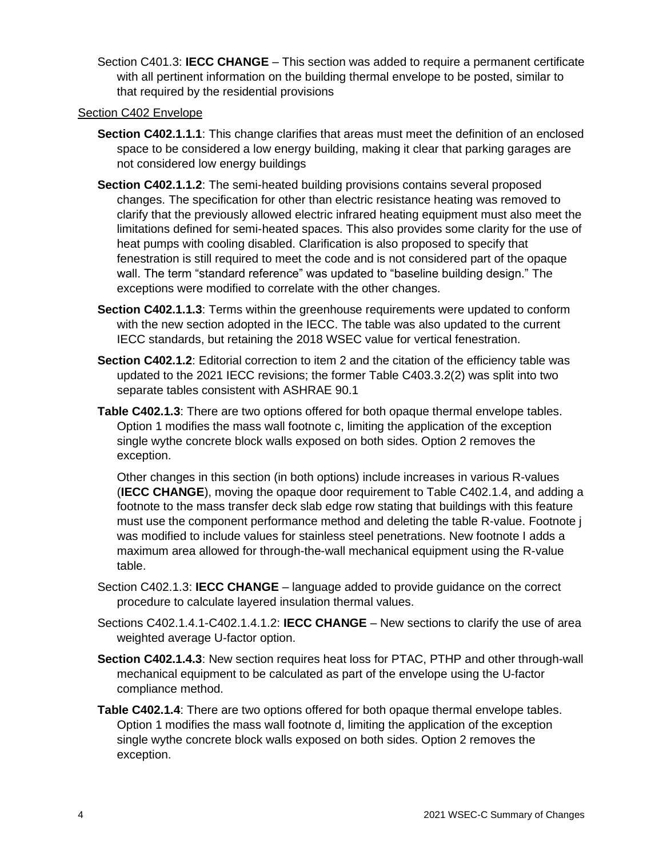Section C401.3: **IECC CHANGE** – This section was added to require a permanent certificate with all pertinent information on the building thermal envelope to be posted, similar to that required by the residential provisions

## Section C402 Envelope

- **Section C402.1.1.1**: This change clarifies that areas must meet the definition of an enclosed space to be considered a low energy building, making it clear that parking garages are not considered low energy buildings
- **Section C402.1.1.2**: The semi-heated building provisions contains several proposed changes. The specification for other than electric resistance heating was removed to clarify that the previously allowed electric infrared heating equipment must also meet the limitations defined for semi-heated spaces. This also provides some clarity for the use of heat pumps with cooling disabled. Clarification is also proposed to specify that fenestration is still required to meet the code and is not considered part of the opaque wall. The term "standard reference" was updated to "baseline building design." The exceptions were modified to correlate with the other changes.
- **Section C402.1.1.3**: Terms within the greenhouse requirements were updated to conform with the new section adopted in the IECC. The table was also updated to the current IECC standards, but retaining the 2018 WSEC value for vertical fenestration.
- **Section C402.1.2**: Editorial correction to item 2 and the citation of the efficiency table was updated to the 2021 IECC revisions; the former Table C403.3.2(2) was split into two separate tables consistent with ASHRAE 90.1
- **Table C402.1.3**: There are two options offered for both opaque thermal envelope tables. Option 1 modifies the mass wall footnote c, limiting the application of the exception single wythe concrete block walls exposed on both sides. Option 2 removes the exception.

Other changes in this section (in both options) include increases in various R-values (**IECC CHANGE**), moving the opaque door requirement to Table C402.1.4, and adding a footnote to the mass transfer deck slab edge row stating that buildings with this feature must use the component performance method and deleting the table R-value. Footnote j was modified to include values for stainless steel penetrations. New footnote I adds a maximum area allowed for through-the-wall mechanical equipment using the R-value table.

- Section C402.1.3: **IECC CHANGE** language added to provide guidance on the correct procedure to calculate layered insulation thermal values.
- Sections C402.1.4.1-C402.1.4.1.2: **IECC CHANGE** New sections to clarify the use of area weighted average U-factor option.
- **Section C402.1.4.3**: New section requires heat loss for PTAC, PTHP and other through-wall mechanical equipment to be calculated as part of the envelope using the U-factor compliance method.
- **Table C402.1.4**: There are two options offered for both opaque thermal envelope tables. Option 1 modifies the mass wall footnote d, limiting the application of the exception single wythe concrete block walls exposed on both sides. Option 2 removes the exception.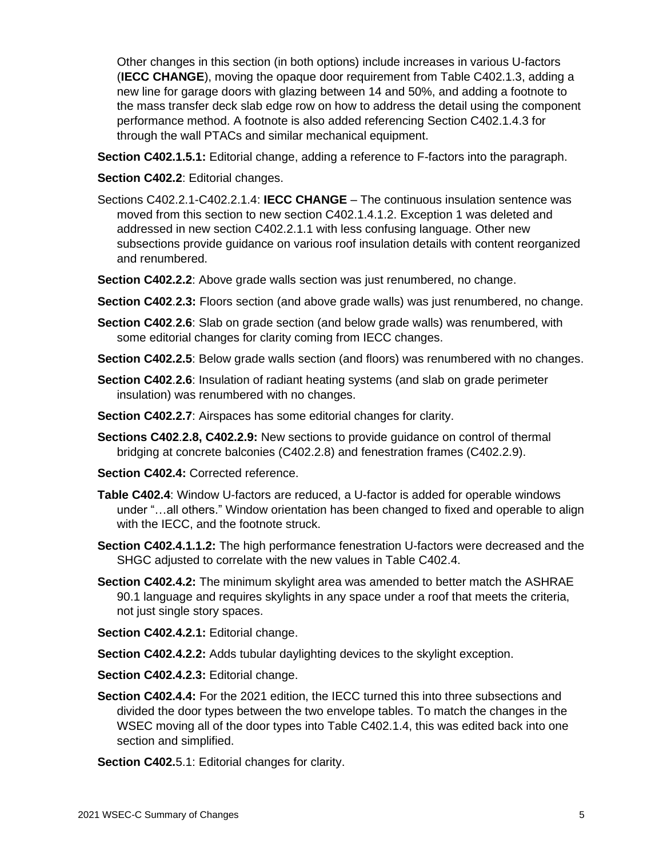Other changes in this section (in both options) include increases in various U-factors (**IECC CHANGE**), moving the opaque door requirement from Table C402.1.3, adding a new line for garage doors with glazing between 14 and 50%, and adding a footnote to the mass transfer deck slab edge row on how to address the detail using the component performance method. A footnote is also added referencing Section C402.1.4.3 for through the wall PTACs and similar mechanical equipment.

**Section C402.1.5.1:** Editorial change, adding a reference to F-factors into the paragraph.

### **Section C402.2**: Editorial changes.

- Sections C402.2.1-C402.2.1.4: **IECC CHANGE** The continuous insulation sentence was moved from this section to new section C402.1.4.1.2. Exception 1 was deleted and addressed in new section C402.2.1.1 with less confusing language. Other new subsections provide guidance on various roof insulation details with content reorganized and renumbered.
- **Section C402.2.2**: Above grade walls section was just renumbered, no change.
- **Section C402**.**2.3:** Floors section (and above grade walls) was just renumbered, no change.
- **Section C402**.**2.6**: Slab on grade section (and below grade walls) was renumbered, with some editorial changes for clarity coming from IECC changes.
- **Section C402.2.5**: Below grade walls section (and floors) was renumbered with no changes.
- **Section C402**.**2.6**: Insulation of radiant heating systems (and slab on grade perimeter insulation) was renumbered with no changes.
- **Section C402.2.7**: Airspaces has some editorial changes for clarity.
- **Sections C402**.**2.8, C402.2.9:** New sections to provide guidance on control of thermal bridging at concrete balconies (C402.2.8) and fenestration frames (C402.2.9).
- **Section C402.4: Corrected reference.**
- **Table C402.4**: Window U-factors are reduced, a U-factor is added for operable windows under "…all others." Window orientation has been changed to fixed and operable to align with the IECC, and the footnote struck.
- **Section C402.4.1.1.2:** The high performance fenestration U-factors were decreased and the SHGC adjusted to correlate with the new values in Table C402.4.
- **Section C402.4.2:** The minimum skylight area was amended to better match the ASHRAE 90.1 language and requires skylights in any space under a roof that meets the criteria, not just single story spaces.

**Section C402.4.2.1:** Editorial change.

- **Section C402.4.2.2:** Adds tubular daylighting devices to the skylight exception.
- **Section C402.4.2.3:** Editorial change.
- **Section C402.4.4:** For the 2021 edition, the IECC turned this into three subsections and divided the door types between the two envelope tables. To match the changes in the WSEC moving all of the door types into Table C402.1.4, this was edited back into one section and simplified.
- **Section C402.**5.1: Editorial changes for clarity.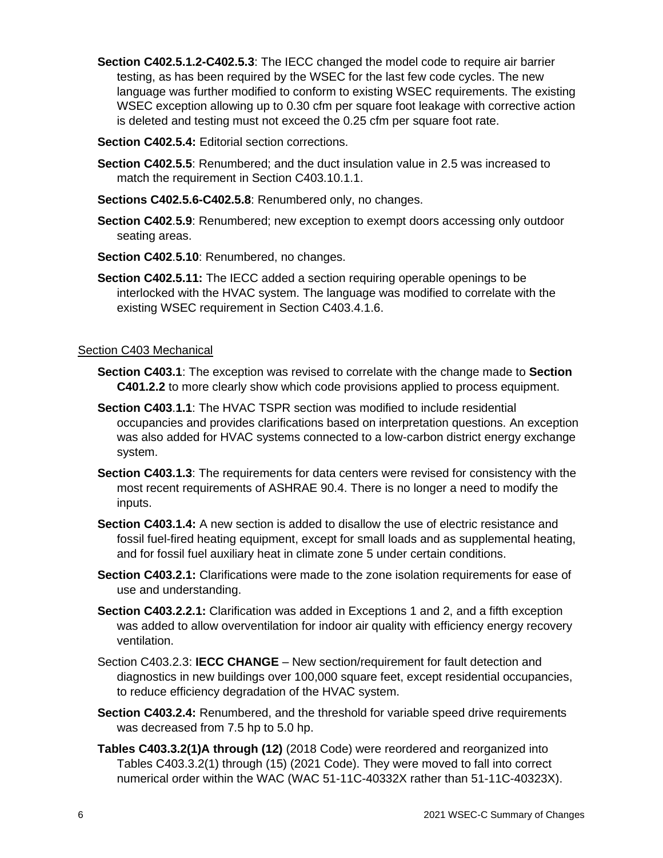- **Section C402.5.1.2-C402.5.3**: The IECC changed the model code to require air barrier testing, as has been required by the WSEC for the last few code cycles. The new language was further modified to conform to existing WSEC requirements. The existing WSEC exception allowing up to 0.30 cfm per square foot leakage with corrective action is deleted and testing must not exceed the 0.25 cfm per square foot rate.
- **Section C402.5.4:** Editorial section corrections.
- **Section C402.5.5**: Renumbered; and the duct insulation value in 2.5 was increased to match the requirement in Section C403.10.1.1.
- **Sections C402.5.6-C402.5.8**: Renumbered only, no changes.
- **Section C402**.**5.9**: Renumbered; new exception to exempt doors accessing only outdoor seating areas.
- **Section C402**.**5.10**: Renumbered, no changes.
- **Section C402.5.11:** The IECC added a section requiring operable openings to be interlocked with the HVAC system. The language was modified to correlate with the existing WSEC requirement in Section C403.4.1.6.

#### Section C403 Mechanical

- **Section C403.1**: The exception was revised to correlate with the change made to **Section C401.2.2** to more clearly show which code provisions applied to process equipment.
- **Section C403**.**1.1**: The HVAC TSPR section was modified to include residential occupancies and provides clarifications based on interpretation questions. An exception was also added for HVAC systems connected to a low-carbon district energy exchange system.
- **Section C403.1.3**: The requirements for data centers were revised for consistency with the most recent requirements of ASHRAE 90.4. There is no longer a need to modify the inputs.
- **Section C403.1.4:** A new section is added to disallow the use of electric resistance and fossil fuel-fired heating equipment, except for small loads and as supplemental heating, and for fossil fuel auxiliary heat in climate zone 5 under certain conditions.
- **Section C403.2.1:** Clarifications were made to the zone isolation requirements for ease of use and understanding.
- **Section C403.2.2.1:** Clarification was added in Exceptions 1 and 2, and a fifth exception was added to allow overventilation for indoor air quality with efficiency energy recovery ventilation.
- Section C403.2.3: **IECC CHANGE** New section/requirement for fault detection and diagnostics in new buildings over 100,000 square feet, except residential occupancies, to reduce efficiency degradation of the HVAC system.
- **Section C403.2.4:** Renumbered, and the threshold for variable speed drive requirements was decreased from 7.5 hp to 5.0 hp.
- **Tables C403.3.2(1)A through (12)** (2018 Code) were reordered and reorganized into Tables C403.3.2(1) through (15) (2021 Code). They were moved to fall into correct numerical order within the WAC (WAC 51-11C-40332X rather than 51-11C-40323X).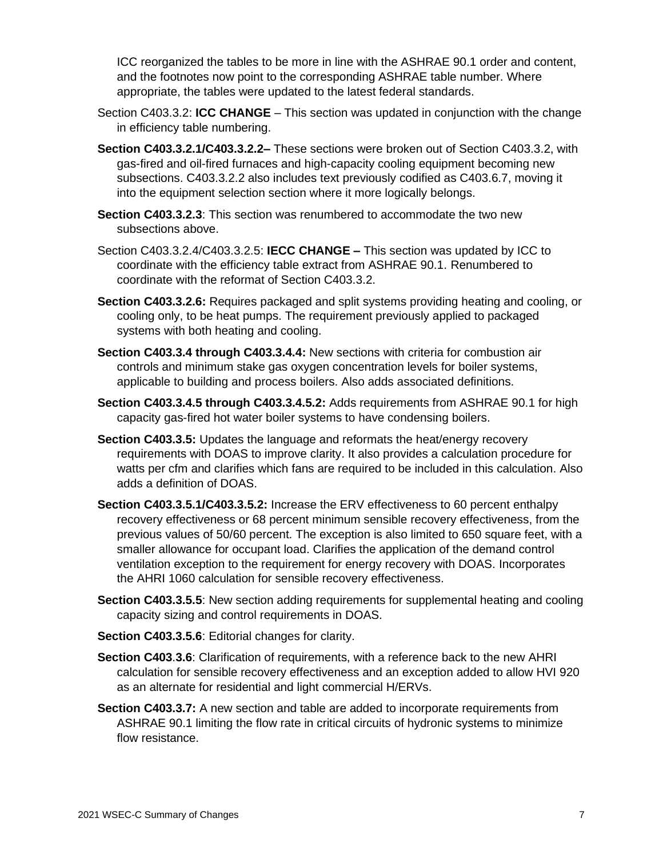ICC reorganized the tables to be more in line with the ASHRAE 90.1 order and content, and the footnotes now point to the corresponding ASHRAE table number. Where appropriate, the tables were updated to the latest federal standards.

- Section C403.3.2: **ICC CHANGE** This section was updated in conjunction with the change in efficiency table numbering.
- **Section C403.3.2.1/C403.3.2.2–** These sections were broken out of Section C403.3.2, with gas-fired and oil-fired furnaces and high-capacity cooling equipment becoming new subsections. C403.3.2.2 also includes text previously codified as C403.6.7, moving it into the equipment selection section where it more logically belongs.
- **Section C403.3.2.3**: This section was renumbered to accommodate the two new subsections above.
- Section C403.3.2.4/C403.3.2.5: **IECC CHANGE –** This section was updated by ICC to coordinate with the efficiency table extract from ASHRAE 90.1. Renumbered to coordinate with the reformat of Section C403.3.2.
- **Section C403.3.2.6:** Requires packaged and split systems providing heating and cooling, or cooling only, to be heat pumps. The requirement previously applied to packaged systems with both heating and cooling.
- **Section C403.3.4 through C403.3.4.4:** New sections with criteria for combustion air controls and minimum stake gas oxygen concentration levels for boiler systems, applicable to building and process boilers. Also adds associated definitions.
- **Section C403.3.4.5 through C403.3.4.5.2:** Adds requirements from ASHRAE 90.1 for high capacity gas-fired hot water boiler systems to have condensing boilers.
- **Section C403.3.5:** Updates the language and reformats the heat/energy recovery requirements with DOAS to improve clarity. It also provides a calculation procedure for watts per cfm and clarifies which fans are required to be included in this calculation. Also adds a definition of DOAS.
- **Section C403.3.5.1/C403.3.5.2:** Increase the ERV effectiveness to 60 percent enthalpy recovery effectiveness or 68 percent minimum sensible recovery effectiveness, from the previous values of 50/60 percent. The exception is also limited to 650 square feet, with a smaller allowance for occupant load. Clarifies the application of the demand control ventilation exception to the requirement for energy recovery with DOAS. Incorporates the AHRI 1060 calculation for sensible recovery effectiveness.
- **Section C403.3.5.5**: New section adding requirements for supplemental heating and cooling capacity sizing and control requirements in DOAS.
- **Section C403.3.5.6**: Editorial changes for clarity.
- **Section C403**.**3.6**: Clarification of requirements, with a reference back to the new AHRI calculation for sensible recovery effectiveness and an exception added to allow HVI 920 as an alternate for residential and light commercial H/ERVs.
- **Section C403.3.7:** A new section and table are added to incorporate requirements from ASHRAE 90.1 limiting the flow rate in critical circuits of hydronic systems to minimize flow resistance.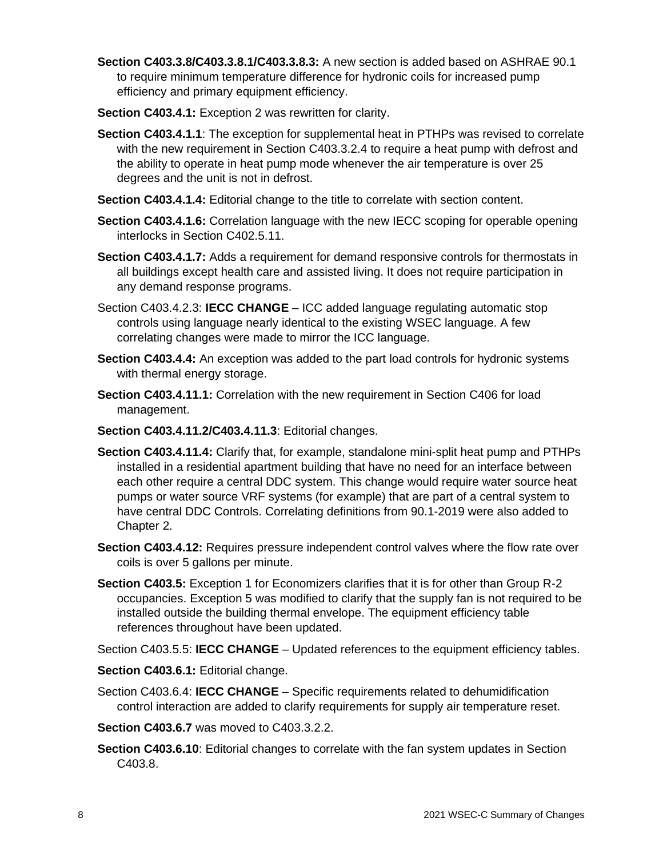- **Section C403.3.8/C403.3.8.1/C403.3.8.3:** A new section is added based on ASHRAE 90.1 to require minimum temperature difference for hydronic coils for increased pump efficiency and primary equipment efficiency.
- **Section C403.4.1:** Exception 2 was rewritten for clarity.
- **Section C403.4.1.1**: The exception for supplemental heat in PTHPs was revised to correlate with the new requirement in Section C403.3.2.4 to require a heat pump with defrost and the ability to operate in heat pump mode whenever the air temperature is over 25 degrees and the unit is not in defrost.
- **Section C403.4.1.4:** Editorial change to the title to correlate with section content.
- **Section C403.4.1.6:** Correlation language with the new IECC scoping for operable opening interlocks in Section C402.5.11.
- **Section C403.4.1.7:** Adds a requirement for demand responsive controls for thermostats in all buildings except health care and assisted living. It does not require participation in any demand response programs.
- Section C403.4.2.3: **IECC CHANGE** ICC added language regulating automatic stop controls using language nearly identical to the existing WSEC language. A few correlating changes were made to mirror the ICC language.
- **Section C403.4.4:** An exception was added to the part load controls for hydronic systems with thermal energy storage.
- **Section C403.4.11.1:** Correlation with the new requirement in Section C406 for load management.
- **Section C403.4.11.2/C403.4.11.3**: Editorial changes.
- **Section C403.4.11.4:** Clarify that, for example, standalone mini-split heat pump and PTHPs installed in a residential apartment building that have no need for an interface between each other require a central DDC system. This change would require water source heat pumps or water source VRF systems (for example) that are part of a central system to have central DDC Controls. Correlating definitions from 90.1-2019 were also added to Chapter 2.
- **Section C403.4.12:** Requires pressure independent control valves where the flow rate over coils is over 5 gallons per minute.
- **Section C403.5:** Exception 1 for Economizers clarifies that it is for other than Group R-2 occupancies. Exception 5 was modified to clarify that the supply fan is not required to be installed outside the building thermal envelope. The equipment efficiency table references throughout have been updated.

Section C403.5.5: **IECC CHANGE** – Updated references to the equipment efficiency tables.

**Section C403.6.1:** Editorial change.

Section C403.6.4: **IECC CHANGE** – Specific requirements related to dehumidification control interaction are added to clarify requirements for supply air temperature reset.

**Section C403.6.7** was moved to C403.3.2.2.

**Section C403.6.10**: Editorial changes to correlate with the fan system updates in Section C403.8.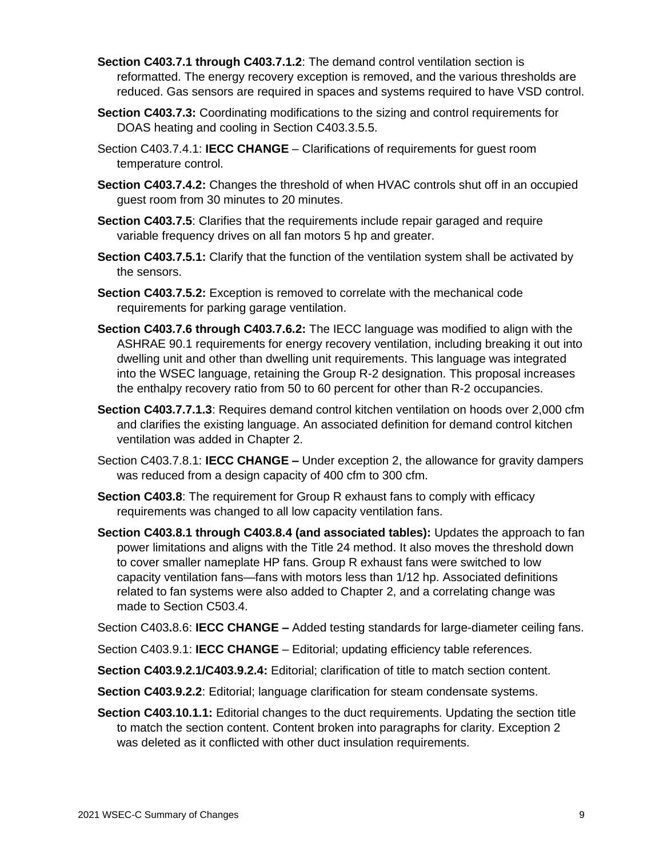- **Section C403.7.1 through C403.7.1.2**: The demand control ventilation section is reformatted. The energy recovery exception is removed, and the various thresholds are reduced. Gas sensors are required in spaces and systems required to have VSD control.
- **Section C403.7.3:** Coordinating modifications to the sizing and control requirements for DOAS heating and cooling in Section C403.3.5.5.
- Section C403.7.4.1: **IECC CHANGE** Clarifications of requirements for guest room temperature control.
- **Section C403.7.4.2:** Changes the threshold of when HVAC controls shut off in an occupied guest room from 30 minutes to 20 minutes.
- **Section C403.7.5**: Clarifies that the requirements include repair garaged and require variable frequency drives on all fan motors 5 hp and greater.
- **Section C403.7.5.1:** Clarify that the function of the ventilation system shall be activated by the sensors.
- **Section C403.7.5.2:** Exception is removed to correlate with the mechanical code requirements for parking garage ventilation.
- **Section C403.7.6 through C403.7.6.2:** The IECC language was modified to align with the ASHRAE 90.1 requirements for energy recovery ventilation, including breaking it out into dwelling unit and other than dwelling unit requirements. This language was integrated into the WSEC language, retaining the Group R-2 designation. This proposal increases the enthalpy recovery ratio from 50 to 60 percent for other than R-2 occupancies.
- **Section C403.7.7.1.3**: Requires demand control kitchen ventilation on hoods over 2,000 cfm and clarifies the existing language. An associated definition for demand control kitchen ventilation was added in Chapter 2.
- Section C403.7.8.1: **IECC CHANGE –** Under exception 2, the allowance for gravity dampers was reduced from a design capacity of 400 cfm to 300 cfm.
- **Section C403.8**: The requirement for Group R exhaust fans to comply with efficacy requirements was changed to all low capacity ventilation fans.
- **Section C403.8.1 through C403.8.4 (and associated tables):** Updates the approach to fan power limitations and aligns with the Title 24 method. It also moves the threshold down to cover smaller nameplate HP fans. Group R exhaust fans were switched to low capacity ventilation fans—fans with motors less than 1/12 hp. Associated definitions related to fan systems were also added to Chapter 2, and a correlating change was made to Section C503.4.

Section C403**.**8.6: **IECC CHANGE –** Added testing standards for large-diameter ceiling fans.

Section C403.9.1: **IECC CHANGE** – Editorial; updating efficiency table references.

**Section C403.9.2.1/C403.9.2.4:** Editorial; clarification of title to match section content.

- **Section C403.9.2.2**: Editorial; language clarification for steam condensate systems.
- **Section C403.10.1.1:** Editorial changes to the duct requirements. Updating the section title to match the section content. Content broken into paragraphs for clarity. Exception 2 was deleted as it conflicted with other duct insulation requirements.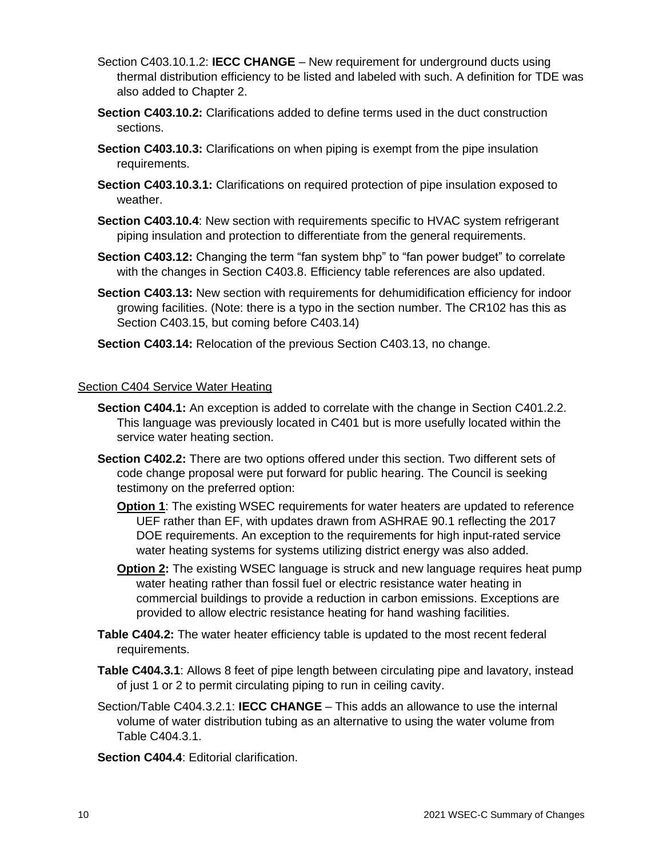- Section C403.10.1.2: **IECC CHANGE** New requirement for underground ducts using thermal distribution efficiency to be listed and labeled with such. A definition for TDE was also added to Chapter 2.
- **Section C403.10.2:** Clarifications added to define terms used in the duct construction sections.
- **Section C403.10.3:** Clarifications on when piping is exempt from the pipe insulation requirements.
- **Section C403.10.3.1:** Clarifications on required protection of pipe insulation exposed to weather.
- **Section C403.10.4**: New section with requirements specific to HVAC system refrigerant piping insulation and protection to differentiate from the general requirements.
- **Section C403.12:** Changing the term "fan system bhp" to "fan power budget" to correlate with the changes in Section C403.8. Efficiency table references are also updated.
- **Section C403.13:** New section with requirements for dehumidification efficiency for indoor growing facilities. (Note: there is a typo in the section number. The CR102 has this as Section C403.15, but coming before C403.14)
- **Section C403.14:** Relocation of the previous Section C403.13, no change.

#### Section C404 Service Water Heating

- **Section C404.1:** An exception is added to correlate with the change in Section C401.2.2. This language was previously located in C401 but is more usefully located within the service water heating section.
- **Section C402.2:** There are two options offered under this section. Two different sets of code change proposal were put forward for public hearing. The Council is seeking testimony on the preferred option:
	- **Option 1**: The existing WSEC requirements for water heaters are updated to reference UEF rather than EF, with updates drawn from ASHRAE 90.1 reflecting the 2017 DOE requirements. An exception to the requirements for high input-rated service water heating systems for systems utilizing district energy was also added.
	- **Option 2:** The existing WSEC language is struck and new language requires heat pump water heating rather than fossil fuel or electric resistance water heating in commercial buildings to provide a reduction in carbon emissions. Exceptions are provided to allow electric resistance heating for hand washing facilities.
- **Table C404.2:** The water heater efficiency table is updated to the most recent federal requirements.
- **Table C404.3.1**: Allows 8 feet of pipe length between circulating pipe and lavatory, instead of just 1 or 2 to permit circulating piping to run in ceiling cavity.
- Section/Table C404.3.2.1: **IECC CHANGE** This adds an allowance to use the internal volume of water distribution tubing as an alternative to using the water volume from Table C404.3.1.

**Section C404.4**: Editorial clarification.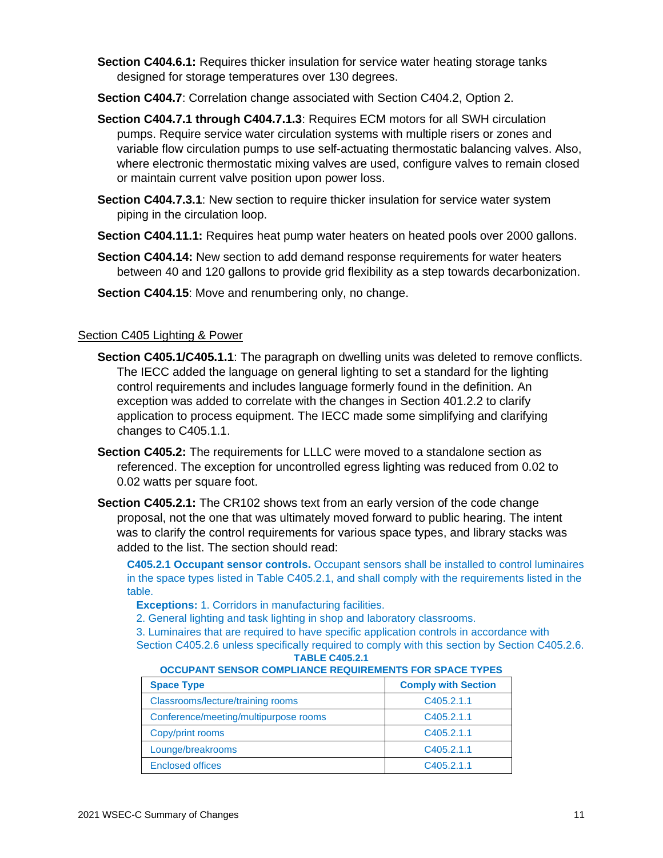- **Section C404.6.1:** Requires thicker insulation for service water heating storage tanks designed for storage temperatures over 130 degrees.
- **Section C404.7**: Correlation change associated with Section C404.2, Option 2.
- **Section C404.7.1 through C404.7.1.3**: Requires ECM motors for all SWH circulation pumps. Require service water circulation systems with multiple risers or zones and variable flow circulation pumps to use self-actuating thermostatic balancing valves. Also, where electronic thermostatic mixing valves are used, configure valves to remain closed or maintain current valve position upon power loss.
- **Section C404.7.3.1**: New section to require thicker insulation for service water system piping in the circulation loop.
- **Section C404.11.1:** Requires heat pump water heaters on heated pools over 2000 gallons.
- **Section C404.14:** New section to add demand response requirements for water heaters between 40 and 120 gallons to provide grid flexibility as a step towards decarbonization.
- **Section C404.15:** Move and renumbering only, no change.

#### Section C405 Lighting & Power

- **Section C405.1/C405.1.1**: The paragraph on dwelling units was deleted to remove conflicts. The IECC added the language on general lighting to set a standard for the lighting control requirements and includes language formerly found in the definition. An exception was added to correlate with the changes in Section 401.2.2 to clarify application to process equipment. The IECC made some simplifying and clarifying changes to C405.1.1.
- **Section C405.2:** The requirements for LLLC were moved to a standalone section as referenced. The exception for uncontrolled egress lighting was reduced from 0.02 to 0.02 watts per square foot.
- **Section C405.2.1:** The CR102 shows text from an early version of the code change proposal, not the one that was ultimately moved forward to public hearing. The intent was to clarify the control requirements for various space types, and library stacks was added to the list. The section should read:

**C405.2.1 Occupant sensor controls.** Occupant sensors shall be installed to control luminaires in the space types listed in Table C405.2.1, and shall comply with the requirements listed in the table.

**Exceptions:** 1. Corridors in manufacturing facilities.

2. General lighting and task lighting in shop and laboratory classrooms.

3. Luminaires that are required to have specific application controls in accordance with

Section C405.2.6 unless specifically required to comply with this section by Section C405.2.6. **TABLE C405.2.1**

#### **OCCUPANT SENSOR COMPLIANCE REQUIREMENTS FOR SPACE TYPES**

| <b>Space Type</b>                     | <b>Comply with Section</b> |
|---------------------------------------|----------------------------|
| Classrooms/lecture/training rooms     | C405.2.1.1                 |
| Conference/meeting/multipurpose rooms | C405.2.1.1                 |
| Copy/print rooms                      | C405.2.1.1                 |
| Lounge/breakrooms                     | C405.2.1.1                 |
| <b>Enclosed offices</b>               | C <sub>405</sub> .2.1.1    |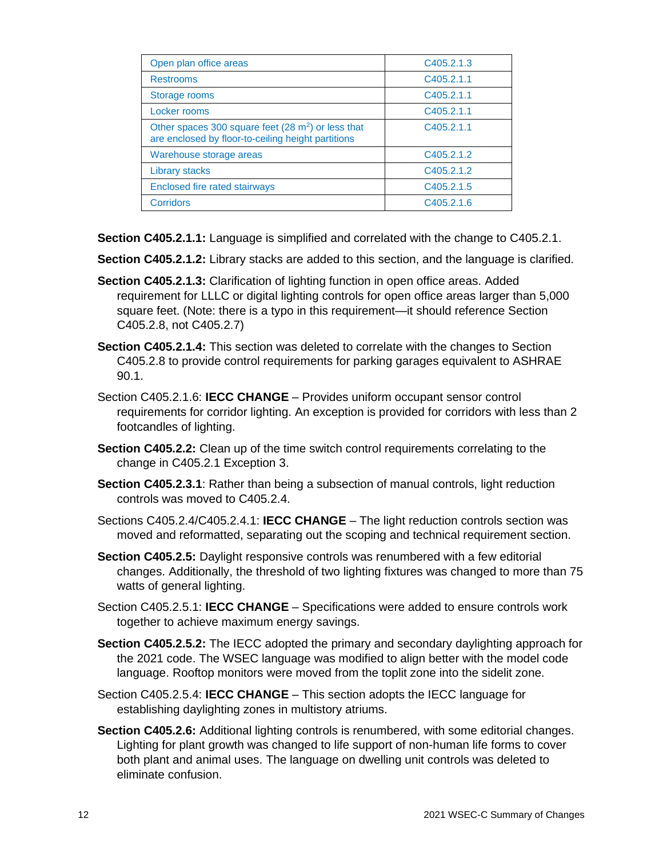| Open plan office areas                                                                                               | C405.2.1.3 |
|----------------------------------------------------------------------------------------------------------------------|------------|
| <b>Restrooms</b>                                                                                                     | C405.2.1.1 |
| Storage rooms                                                                                                        | C405.2.1.1 |
| Locker rooms                                                                                                         | C405.2.1.1 |
| Other spaces 300 square feet (28 m <sup>2</sup> ) or less that<br>are enclosed by floor-to-ceiling height partitions | C405.2.1.1 |
| Warehouse storage areas                                                                                              | C405.2.1.2 |
| <b>Library stacks</b>                                                                                                | C405.2.1.2 |
| <b>Enclosed fire rated stairways</b>                                                                                 | C405.2.1.5 |
| <b>Corridors</b>                                                                                                     | C405.2.1.6 |

**Section C405.2.1.1:** Language is simplified and correlated with the change to C405.2.1.

**Section C405.2.1.2:** Library stacks are added to this section, and the language is clarified.

- **Section C405.2.1.3:** Clarification of lighting function in open office areas. Added requirement for LLLC or digital lighting controls for open office areas larger than 5,000 square feet. (Note: there is a typo in this requirement—it should reference Section C405.2.8, not C405.2.7)
- **Section C405.2.1.4:** This section was deleted to correlate with the changes to Section C405.2.8 to provide control requirements for parking garages equivalent to ASHRAE 90.1.
- Section C405.2.1.6: **IECC CHANGE** Provides uniform occupant sensor control requirements for corridor lighting. An exception is provided for corridors with less than 2 footcandles of lighting.
- **Section C405.2.2:** Clean up of the time switch control requirements correlating to the change in C405.2.1 Exception 3.
- **Section C405.2.3.1**: Rather than being a subsection of manual controls, light reduction controls was moved to C405.2.4.
- Sections C405.2.4/C405.2.4.1: **IECC CHANGE** The light reduction controls section was moved and reformatted, separating out the scoping and technical requirement section.
- **Section C405.2.5:** Daylight responsive controls was renumbered with a few editorial changes. Additionally, the threshold of two lighting fixtures was changed to more than 75 watts of general lighting.
- Section C405.2.5.1: **IECC CHANGE** Specifications were added to ensure controls work together to achieve maximum energy savings.
- **Section C405.2.5.2:** The IECC adopted the primary and secondary daylighting approach for the 2021 code. The WSEC language was modified to align better with the model code language. Rooftop monitors were moved from the toplit zone into the sidelit zone.
- Section C405.2.5.4: **IECC CHANGE** This section adopts the IECC language for establishing daylighting zones in multistory atriums.
- **Section C405.2.6:** Additional lighting controls is renumbered, with some editorial changes. Lighting for plant growth was changed to life support of non-human life forms to cover both plant and animal uses. The language on dwelling unit controls was deleted to eliminate confusion.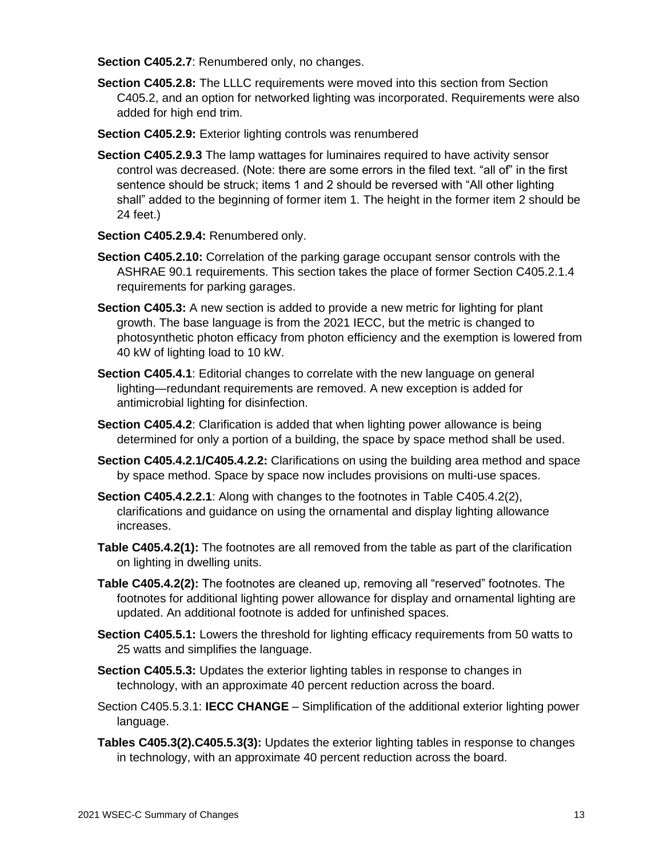**Section C405.2.7**: Renumbered only, no changes.

- **Section C405.2.8:** The LLLC requirements were moved into this section from Section C405.2, and an option for networked lighting was incorporated. Requirements were also added for high end trim.
- **Section C405.2.9:** Exterior lighting controls was renumbered
- **Section C405.2.9.3** The lamp wattages for luminaires required to have activity sensor control was decreased. (Note: there are some errors in the filed text. "all of" in the first sentence should be struck; items 1 and 2 should be reversed with "All other lighting shall" added to the beginning of former item 1. The height in the former item 2 should be 24 feet.)
- **Section C405.2.9.4:** Renumbered only.
- **Section C405.2.10:** Correlation of the parking garage occupant sensor controls with the ASHRAE 90.1 requirements. This section takes the place of former Section C405.2.1.4 requirements for parking garages.
- **Section C405.3:** A new section is added to provide a new metric for lighting for plant growth. The base language is from the 2021 IECC, but the metric is changed to photosynthetic photon efficacy from photon efficiency and the exemption is lowered from 40 kW of lighting load to 10 kW.
- **Section C405.4.1**: Editorial changes to correlate with the new language on general lighting—redundant requirements are removed. A new exception is added for antimicrobial lighting for disinfection.
- **Section C405.4.2**: Clarification is added that when lighting power allowance is being determined for only a portion of a building, the space by space method shall be used.
- **Section C405.4.2.1/C405.4.2.2:** Clarifications on using the building area method and space by space method. Space by space now includes provisions on multi-use spaces.
- **Section C405.4.2.2.1**: Along with changes to the footnotes in Table C405.4.2(2), clarifications and guidance on using the ornamental and display lighting allowance increases.
- **Table C405.4.2(1):** The footnotes are all removed from the table as part of the clarification on lighting in dwelling units.
- **Table C405.4.2(2):** The footnotes are cleaned up, removing all "reserved" footnotes. The footnotes for additional lighting power allowance for display and ornamental lighting are updated. An additional footnote is added for unfinished spaces.
- **Section C405.5.1:** Lowers the threshold for lighting efficacy requirements from 50 watts to 25 watts and simplifies the language.
- **Section C405.5.3:** Updates the exterior lighting tables in response to changes in technology, with an approximate 40 percent reduction across the board.
- Section C405.5.3.1: **IECC CHANGE** Simplification of the additional exterior lighting power language.
- **Tables C405.3(2).C405.5.3(3):** Updates the exterior lighting tables in response to changes in technology, with an approximate 40 percent reduction across the board.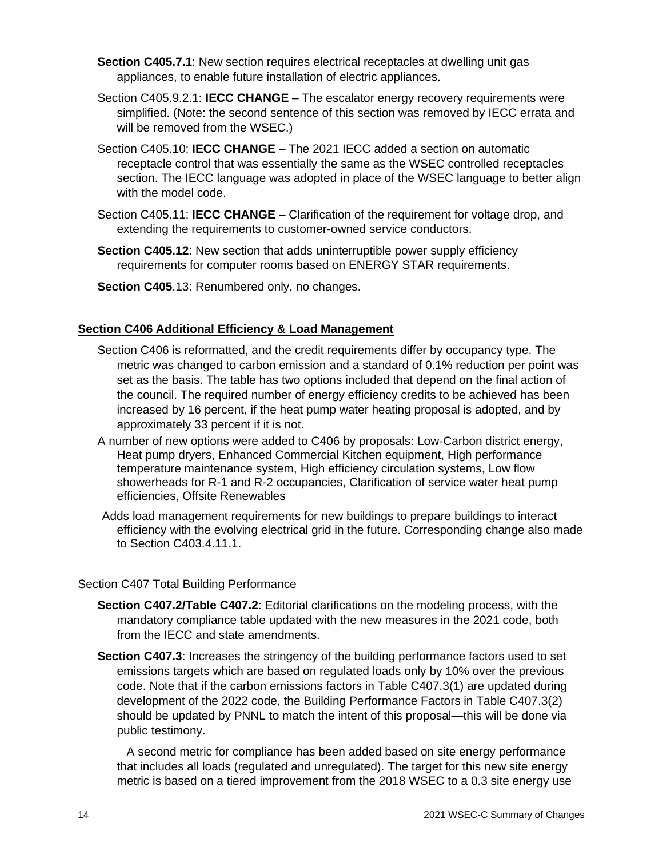- **Section C405.7.1**: New section requires electrical receptacles at dwelling unit gas appliances, to enable future installation of electric appliances.
- Section C405.9.2.1: **IECC CHANGE** The escalator energy recovery requirements were simplified. (Note: the second sentence of this section was removed by IECC errata and will be removed from the WSEC.)
- Section C405.10: **IECC CHANGE** The 2021 IECC added a section on automatic receptacle control that was essentially the same as the WSEC controlled receptacles section. The IECC language was adopted in place of the WSEC language to better align with the model code.
- Section C405.11: **IECC CHANGE –** Clarification of the requirement for voltage drop, and extending the requirements to customer-owned service conductors.
- **Section C405.12:** New section that adds uninterruptible power supply efficiency requirements for computer rooms based on ENERGY STAR requirements.
- **Section C405**.13: Renumbered only, no changes.

## **Section C406 Additional Efficiency & Load Management**

- Section C406 is reformatted, and the credit requirements differ by occupancy type. The metric was changed to carbon emission and a standard of 0.1% reduction per point was set as the basis. The table has two options included that depend on the final action of the council. The required number of energy efficiency credits to be achieved has been increased by 16 percent, if the heat pump water heating proposal is adopted, and by approximately 33 percent if it is not.
- A number of new options were added to C406 by proposals: Low-Carbon district energy, Heat pump dryers, Enhanced Commercial Kitchen equipment, High performance temperature maintenance system, High efficiency circulation systems, Low flow showerheads for R-1 and R-2 occupancies, Clarification of service water heat pump efficiencies, Offsite Renewables
- Adds load management requirements for new buildings to prepare buildings to interact efficiency with the evolving electrical grid in the future. Corresponding change also made to Section C403.4.11.1.

## Section C407 Total Building Performance

- **Section C407.2/Table C407.2**: Editorial clarifications on the modeling process, with the mandatory compliance table updated with the new measures in the 2021 code, both from the IECC and state amendments.
- **Section C407.3**: Increases the stringency of the building performance factors used to set emissions targets which are based on regulated loads only by 10% over the previous code. Note that if the carbon emissions factors in Table C407.3(1) are updated during development of the 2022 code, the Building Performance Factors in Table C407.3(2) should be updated by PNNL to match the intent of this proposal—this will be done via public testimony.

A second metric for compliance has been added based on site energy performance that includes all loads (regulated and unregulated). The target for this new site energy metric is based on a tiered improvement from the 2018 WSEC to a 0.3 site energy use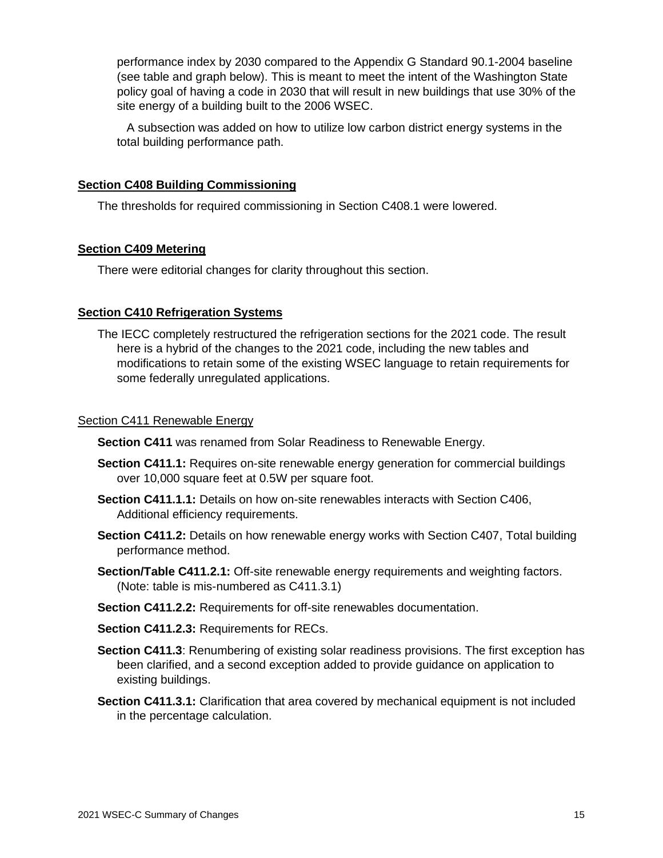performance index by 2030 compared to the Appendix G Standard 90.1-2004 baseline (see table and graph below). This is meant to meet the intent of the Washington State policy goal of having a code in 2030 that will result in new buildings that use 30% of the site energy of a building built to the 2006 WSEC.

A subsection was added on how to utilize low carbon district energy systems in the total building performance path.

#### **Section C408 Building Commissioning**

The thresholds for required commissioning in Section C408.1 were lowered.

#### **Section C409 Metering**

There were editorial changes for clarity throughout this section.

#### **Section C410 Refrigeration Systems**

The IECC completely restructured the refrigeration sections for the 2021 code. The result here is a hybrid of the changes to the 2021 code, including the new tables and modifications to retain some of the existing WSEC language to retain requirements for some federally unregulated applications.

#### Section C411 Renewable Energy

**Section C411** was renamed from Solar Readiness to Renewable Energy.

- **Section C411.1:** Requires on-site renewable energy generation for commercial buildings over 10,000 square feet at 0.5W per square foot.
- **Section C411.1.1:** Details on how on-site renewables interacts with Section C406, Additional efficiency requirements.
- **Section C411.2:** Details on how renewable energy works with Section C407, Total building performance method.
- **Section/Table C411.2.1:** Off-site renewable energy requirements and weighting factors. (Note: table is mis-numbered as C411.3.1)
- **Section C411.2.2:** Requirements for off-site renewables documentation.
- **Section C411.2.3:** Requirements for RECs.
- **Section C411.3**: Renumbering of existing solar readiness provisions. The first exception has been clarified, and a second exception added to provide guidance on application to existing buildings.
- **Section C411.3.1:** Clarification that area covered by mechanical equipment is not included in the percentage calculation.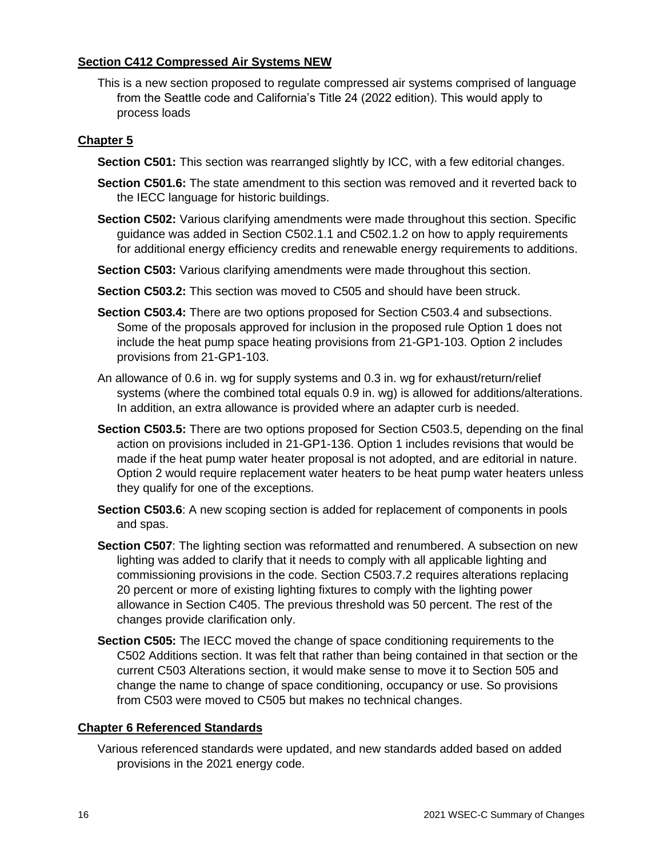## **Section C412 Compressed Air Systems NEW**

This is a new section proposed to regulate compressed air systems comprised of language from the Seattle code and California's Title 24 (2022 edition). This would apply to process loads

# **Chapter 5**

- **Section C501:** This section was rearranged slightly by ICC, with a few editorial changes.
- **Section C501.6:** The state amendment to this section was removed and it reverted back to the IECC language for historic buildings.
- **Section C502:** Various clarifying amendments were made throughout this section. Specific guidance was added in Section C502.1.1 and C502.1.2 on how to apply requirements for additional energy efficiency credits and renewable energy requirements to additions.
- **Section C503:** Various clarifying amendments were made throughout this section.
- **Section C503.2:** This section was moved to C505 and should have been struck.
- **Section C503.4:** There are two options proposed for Section C503.4 and subsections. Some of the proposals approved for inclusion in the proposed rule Option 1 does not include the heat pump space heating provisions from 21-GP1-103. Option 2 includes provisions from 21-GP1-103.
- An allowance of 0.6 in. wg for supply systems and 0.3 in. wg for exhaust/return/relief systems (where the combined total equals 0.9 in. wg) is allowed for additions/alterations. In addition, an extra allowance is provided where an adapter curb is needed.
- **Section C503.5:** There are two options proposed for Section C503.5, depending on the final action on provisions included in 21-GP1-136. Option 1 includes revisions that would be made if the heat pump water heater proposal is not adopted, and are editorial in nature. Option 2 would require replacement water heaters to be heat pump water heaters unless they qualify for one of the exceptions.
- **Section C503.6**: A new scoping section is added for replacement of components in pools and spas.
- **Section C507**: The lighting section was reformatted and renumbered. A subsection on new lighting was added to clarify that it needs to comply with all applicable lighting and commissioning provisions in the code. Section C503.7.2 requires alterations replacing 20 percent or more of existing lighting fixtures to comply with the lighting power allowance in Section C405. The previous threshold was 50 percent. The rest of the changes provide clarification only.
- **Section C505:** The IECC moved the change of space conditioning requirements to the C502 Additions section. It was felt that rather than being contained in that section or the current C503 Alterations section, it would make sense to move it to Section 505 and change the name to change of space conditioning, occupancy or use. So provisions from C503 were moved to C505 but makes no technical changes.

## **Chapter 6 Referenced Standards**

Various referenced standards were updated, and new standards added based on added provisions in the 2021 energy code.